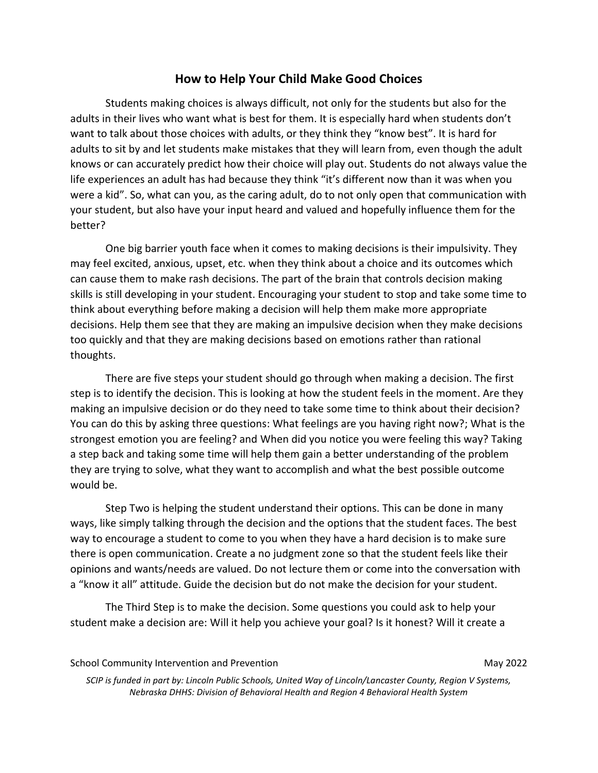## **How to Help Your Child Make Good Choices**

Students making choices is always difficult, not only for the students but also for the adults in their lives who want what is best for them. It is especially hard when students don't want to talk about those choices with adults, or they think they "know best". It is hard for adults to sit by and let students make mistakes that they will learn from, even though the adult knows or can accurately predict how their choice will play out. Students do not always value the life experiences an adult has had because they think "it's different now than it was when you were a kid". So, what can you, as the caring adult, do to not only open that communication with your student, but also have your input heard and valued and hopefully influence them for the better?

One big barrier youth face when it comes to making decisions is their impulsivity. They may feel excited, anxious, upset, etc. when they think about a choice and its outcomes which can cause them to make rash decisions. The part of the brain that controls decision making skills is still developing in your student. Encouraging your student to stop and take some time to think about everything before making a decision will help them make more appropriate decisions. Help them see that they are making an impulsive decision when they make decisions too quickly and that they are making decisions based on emotions rather than rational thoughts.

There are five steps your student should go through when making a decision. The first step is to identify the decision. This is looking at how the student feels in the moment. Are they making an impulsive decision or do they need to take some time to think about their decision? You can do this by asking three questions: What feelings are you having right now?; What is the strongest emotion you are feeling? and When did you notice you were feeling this way? Taking a step back and taking some time will help them gain a better understanding of the problem they are trying to solve, what they want to accomplish and what the best possible outcome would be.

Step Two is helping the student understand their options. This can be done in many ways, like simply talking through the decision and the options that the student faces. The best way to encourage a student to come to you when they have a hard decision is to make sure there is open communication. Create a no judgment zone so that the student feels like their opinions and wants/needs are valued. Do not lecture them or come into the conversation with a "know it all" attitude. Guide the decision but do not make the decision for your student.

The Third Step is to make the decision. Some questions you could ask to help your student make a decision are: Will it help you achieve your goal? Is it honest? Will it create a

School Community Intervention and Prevention May 2022 **May 2022** 

*SCIP is funded in part by: Lincoln Public Schools, United Way of Lincoln/Lancaster County, Region V Systems, Nebraska DHHS: Division of Behavioral Health and Region 4 Behavioral Health System*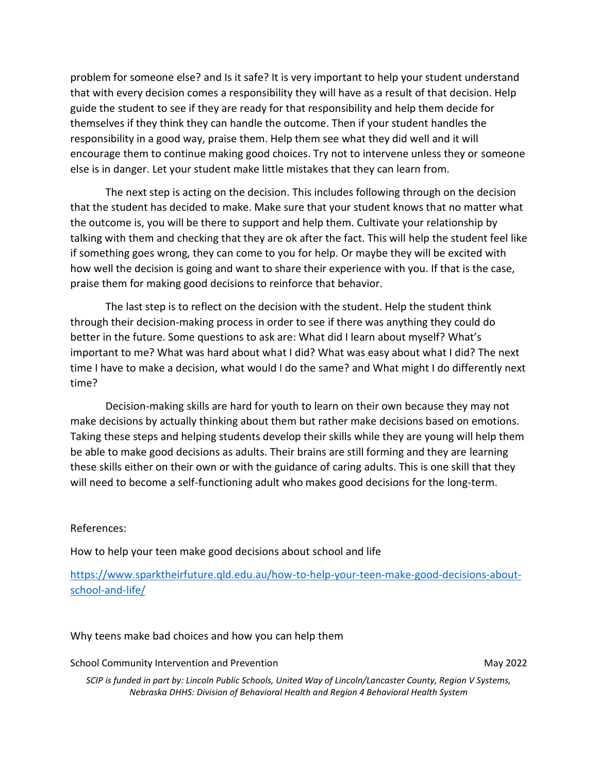problem for someone else? and Is it safe? It is very important to help your student understand that with every decision comes a responsibility they will have as a result of that decision. Help guide the student to see if they are ready for that responsibility and help them decide for themselves if they think they can handle the outcome. Then if your student handles the responsibility in a good way, praise them. Help them see what they did well and it will encourage them to continue making good choices. Try not to intervene unless they or someone else is in danger. Let your student make little mistakes that they can learn from.

The next step is acting on the decision. This includes following through on the decision that the student has decided to make. Make sure that your student knows that no matter what the outcome is, you will be there to support and help them. Cultivate your relationship by talking with them and checking that they are ok after the fact. This will help the student feel like if something goes wrong, they can come to you for help. Or maybe they will be excited with how well the decision is going and want to share their experience with you. If that is the case, praise them for making good decisions to reinforce that behavior.

The last step is to reflect on the decision with the student. Help the student think through their decision-making process in order to see if there was anything they could do better in the future. Some questions to ask are: What did I learn about myself? What's important to me? What was hard about what I did? What was easy about what I did? The next time I have to make a decision, what would I do the same? and What might I do differently next time?

Decision-making skills are hard for youth to learn on their own because they may not make decisions by actually thinking about them but rather make decisions based on emotions. Taking these steps and helping students develop their skills while they are young will help them be able to make good decisions as adults. Their brains are still forming and they are learning these skills either on their own or with the guidance of caring adults. This is one skill that they will need to become a self-functioning adult who makes good decisions for the long-term.

## References:

How to help your teen make good decisions about school and life

[https://www.sparktheirfuture.qld.edu.au/how-to-help-your-teen-make-good-decisions-about](https://www.sparktheirfuture.qld.edu.au/how-to-help-your-teen-make-good-decisions-about-school-and-life/)[school-and-life/](https://www.sparktheirfuture.qld.edu.au/how-to-help-your-teen-make-good-decisions-about-school-and-life/)

Why teens make bad choices and how you can help them

School Community Intervention and Prevention May 2022 **May 2022** 

*SCIP is funded in part by: Lincoln Public Schools, United Way of Lincoln/Lancaster County, Region V Systems, Nebraska DHHS: Division of Behavioral Health and Region 4 Behavioral Health System*